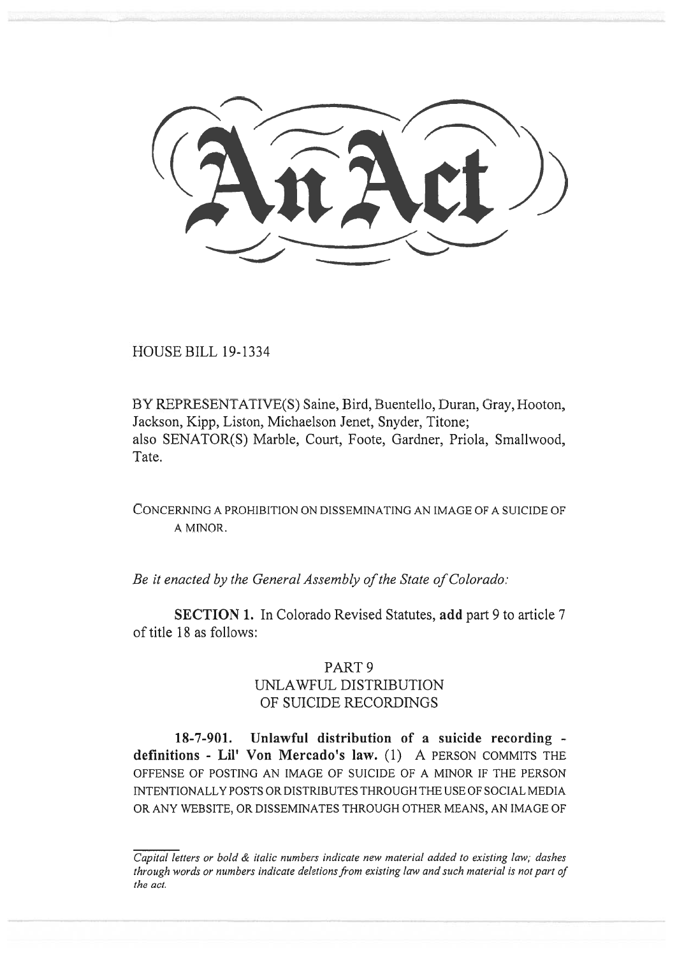HOUSE BILL 19-1334

BY REPRESENTATIVE(S) Saine, Bird, Buentello, Duran, Gray, Hooton, Jackson, Kipp, Liston, Michaelson Jenet, Snyder, Titone; also SENATOR(S) Marble, Court, Foote, Gardner, Priola, Smallwood, Tate.

CONCERNING A PROHIBITION ON DISSEMINATING AN IMAGE OF A SUICIDE OF A MINOR.

*Be it enacted by the General Assembly of the State of Colorado:* 

**SECTION 1.** In Colorado Revised Statutes, **add** part 9 to article 7 of title 18 as follows:

## PART 9

## UNLAWFUL DISTRIBUTION OF SUICIDE RECORDINGS

**18-7-901. Unlawful distribution of a suicide recording definitions - Lil' Von Mercado's law.** (1) A PERSON COMMITS THE OFFENSE OF POSTING AN IMAGE OF SUICIDE OF A MINOR IF THE PERSON INTENTIONALLY POSTS OR DISTRIBUTES THROUGH THE USE OF SOCIAL MEDIA OR ANY WEBSITE, OR DISSEMINATES THROUGH OTHER MEANS, AN IMAGE OF

*Capital letters or bold & italic numbers indicate new material added to existing law; dashes through words or numbers indicate deletions from existing law and such material is not part of the act.*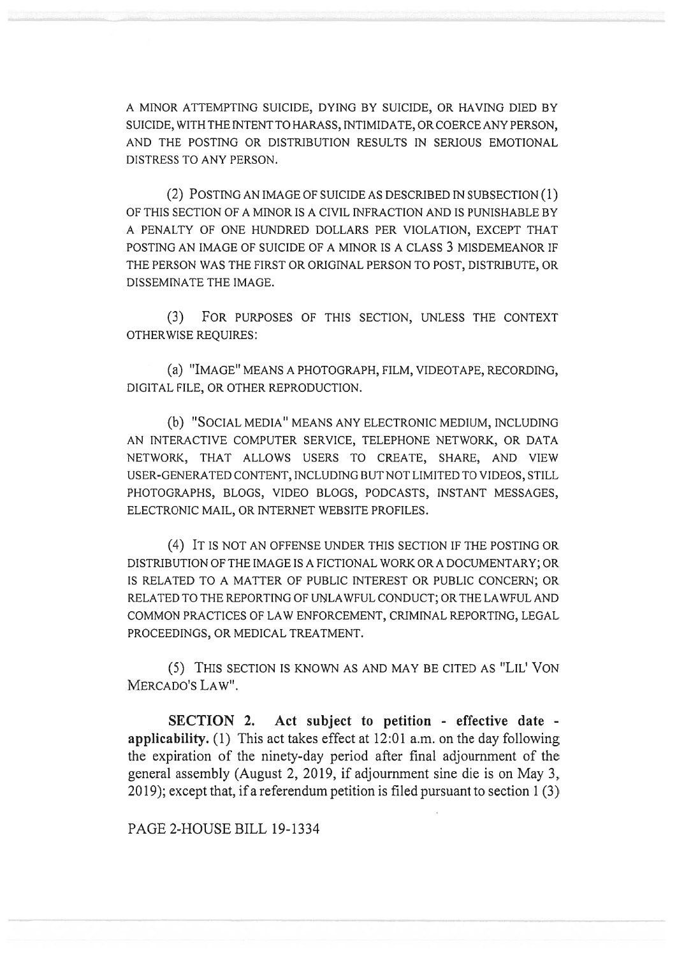A MINOR ATTEMPTING SUICIDE, DYING BY SUICIDE, OR HAVING DIED BY SUICIDE, WITH THE INTENT TO HARASS, INTIMIDATE, OR COERCE ANY PERSON, AND THE POSTING OR DISTRIBUTION RESULTS IN SERIOUS EMOTIONAL DISTRESS TO ANY PERSON.

(2) POSTING AN IMAGE OF SUICIDE AS DESCRIBED IN SUBSECTION (1) OF THIS SECTION OF A MINOR IS A CIVIL INFRACTION AND IS PUNISHABLE BY A PENALTY OF ONE HUNDRED DOLLARS PER VIOLATION, EXCEPT THAT POSTING AN IMAGE OF SUICIDE OF A MINOR IS A CLASS 3 MISDEMEANOR IF THE PERSON WAS THE FIRST OR ORIGINAL PERSON TO POST, DISTRIBUTE, OR DISSEMINATE THE IMAGE.

(3) FOR PURPOSES OF THIS SECTION, UNLESS THE CONTEXT OTHERWISE REQUIRES:

(a) "IMAGE" MEANS A PHOTOGRAPH, FILM, VIDEOTAPE, RECORDING, DIGITAL FILE, OR OTHER REPRODUCTION.

(b) "SOCIAL MEDIA" MEANS ANY ELECTRONIC MEDIUM, INCLUDING AN INTERACTIVE COMPUTER SERVICE, TELEPHONE NETWORK, OR DATA NETWORK, THAT ALLOWS USERS TO CREATE, SHARE, AND VIEW USER-GENERATED CONTENT, INCLUDING BUT NOT LIMITED TO VIDEOS, STILL PHOTOGRAPHS, BLOGS, VIDEO BLOGS, PODCASTS, INSTANT MESSAGES, ELECTRONIC MAIL, OR INTERNET WEBSITE PROFILES.

(4) IT IS NOT AN OFFENSE UNDER THIS SECTION IF THE POSTING OR DISTRIBUTION OF THE IMAGE IS A FICTIONAL WORK OR A DOCUMENTARY; OR IS RELATED TO A MATTER OF PUBLIC INTEREST OR PUBLIC CONCERN; OR RELATED TO THE REPORTING OF UNLAWFUL CONDUCT; OR THE LAWFUL AND COMMON PRACTICES OF LAW ENFORCEMENT, CRIMINAL REPORTING, LEGAL PROCEEDINGS, OR MEDICAL TREATMENT.

(5) THIS SECTION IS KNOWN AS AND MAY BE CITED AS "LIL' VON MERCADO'S LAW".

**SECTION 2. Act subject to petition - effective date applicability.** (1) This act takes effect at 12:01 a.m. on the day following the expiration of the ninety-day period after final adjournment of the general assembly (August 2, 2019, if adjournment sine die is on May 3, 2019); except that, if a referendum petition is filed pursuant to section 1 (3)

PAGE 2-HOUSE BILL 19-1334